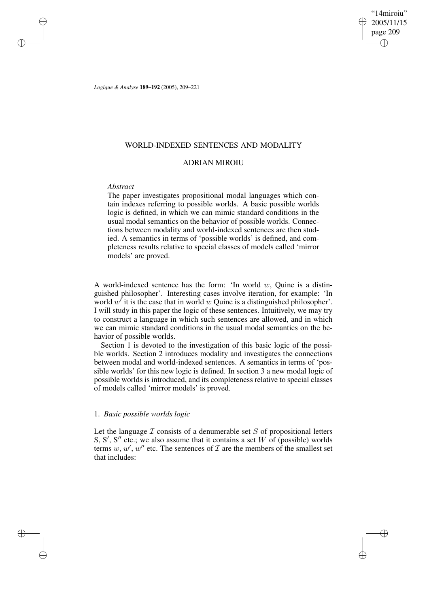"14miroiu" 2005/11/15 page 209 ✐ ✐

✐

✐

*Logique & Analyse* **189–192** (2005), 209–221

# WORLD-INDEXED SENTENCES AND MODALITY

# ADRIAN MIROIU

## *Abstract*

✐

✐

✐

✐

The paper investigates propositional modal languages which contain indexes referring to possible worlds. A basic possible worlds logic is defined, in which we can mimic standard conditions in the usual modal semantics on the behavior of possible worlds. Connections between modality and world-indexed sentences are then studied. A semantics in terms of 'possible worlds' is defined, and completeness results relative to special classes of models called 'mirror models' are proved.

A world-indexed sentence has the form: 'In world  $w$ , Quine is a distinguished philosopher'. Interesting cases involve iteration, for example: 'In world  $w'$  it is the case that in world w Quine is a distinguished philosopher'. I will study in this paper the logic of these sentences. Intuitively, we may try to construct a language in which such sentences are allowed, and in which we can mimic standard conditions in the usual modal semantics on the behavior of possible worlds.

Section 1 is devoted to the investigation of this basic logic of the possible worlds. Section 2 introduces modality and investigates the connections between modal and world-indexed sentences. A semantics in terms of 'possible worlds' for this new logic is defined. In section 3 a new modal logic of possible worlds is introduced, and its completeness relative to special classes of models called 'mirror models' is proved.

# 1. *Basic possible worlds logic*

Let the language  $I$  consists of a denumerable set  $S$  of propositional letters S, S', S'' etc.; we also assume that it contains a set W of (possible) worlds terms w, w', w'' etc. The sentences of  $\mathcal I$  are the members of the smallest set that includes: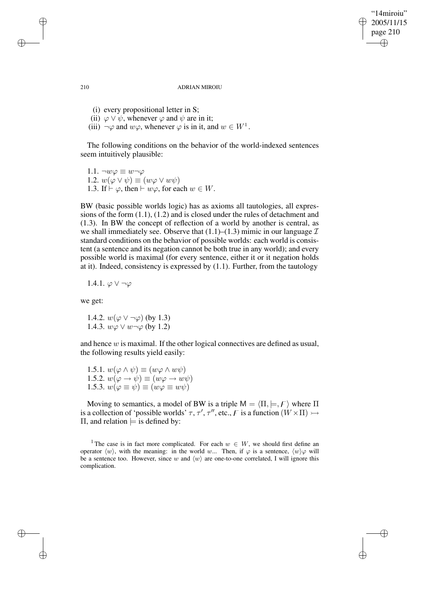"14miroiu" 2005/11/15 page 210 ✐ ✐

✐

✐

#### 210 ADRIAN MIROIU

- (i) every propositional letter in S;
- (ii)  $\varphi \lor \psi$ , whenever  $\varphi$  and  $\psi$  are in it;
- (iii)  $\neg \varphi$  and  $w\varphi$ , whenever  $\varphi$  is in it, and  $w \in W^1$ .

The following conditions on the behavior of the world-indexed sentences seem intuitively plausible:

1.1.  $\neg w \varphi \equiv w \neg \varphi$ 1.2.  $w(\varphi \vee \psi) \equiv (w\varphi \vee w\psi)$ 1.3. If  $\vdash \varphi$ , then  $\vdash w\varphi$ , for each  $w \in W$ .

BW (basic possible worlds logic) has as axioms all tautologies, all expressions of the form (1.1), (1.2) and is closed under the rules of detachment and (1.3). In BW the concept of reflection of a world by another is central, as we shall immediately see. Observe that  $(1.1)$ – $(1.3)$  mimic in our language  $I$ standard conditions on the behavior of possible worlds: each world is consistent (a sentence and its negation cannot be both true in any world); and every possible world is maximal (for every sentence, either it or it negation holds at it). Indeed, consistency is expressed by (1.1). Further, from the tautology

1.4.1.  $\varphi \vee \neg \varphi$ 

we get:

1.4.2.  $w(\varphi \vee \neg \varphi)$  (by 1.3) 1.4.3.  $w\varphi \vee w \neg \varphi$  (by 1.2)

and hence w is maximal. If the other logical connectives are defined as usual, the following results yield easily:

1.5.1.  $w(\varphi \wedge \psi) \equiv (w\varphi \wedge w\psi)$ 1.5.2.  $w(\varphi \to \psi) \equiv (w\varphi \to w\psi)$ 1.5.3.  $w(\varphi \equiv \psi) \equiv (w\varphi \equiv w\psi)$ 

Moving to semantics, a model of BW is a triple  $M = \langle \Pi, \models, F \rangle$  where  $\Pi$ is a collection of 'possible worlds'  $\tau$ ,  $\tau'$ ,  $\tau''$ , etc.,  $\tau$  is a function  $(W \times \Pi) \rightarrow$ Π, and relation  $\models$  is defined by:

<sup>1</sup> The case is in fact more complicated. For each  $w \in W$ , we should first define an operator  $\langle w \rangle$ , with the meaning: in the world w... Then, if  $\varphi$  is a sentence,  $\langle w \rangle \varphi$  will be a sentence too. However, since w and  $\langle w \rangle$  are one-to-one correlated, I will ignore this complication.

✐

✐

✐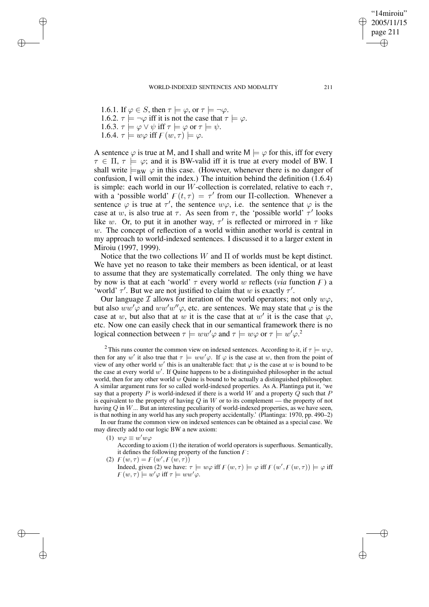1.6.1. If  $\varphi \in S$ , then  $\tau \models \varphi$ , or  $\tau \models \neg \varphi$ . 1.6.2.  $\tau \models \neg \varphi$  iff it is not the case that  $\tau \models \varphi$ . 1.6.3.  $\tau \models \varphi \lor \psi$  iff  $\tau \models \varphi$  or  $\tau \models \psi$ . 1.6.4.  $\tau \models w\varphi$  iff  $\varphi(w,\tau) \models \varphi$ .

✐

✐

✐

✐

A sentence  $\varphi$  is true at M, and I shall and write  $M \models \varphi$  for this, iff for every  $\tau \in \Pi$ ,  $\tau \models \varphi$ ; and it is BW-valid iff it is true at every model of BW. I shall write  $\models_{BW} \varphi$  in this case. (However, whenever there is no danger of confusion, I will omit the index.) The intuition behind the definition (1.6.4) is simple: each world in our *W*-collection is correlated, relative to each  $\tau$ , with a 'possible world'  $F(t, \tau) = \tau'$  from our II-collection. Whenever a sentence  $\varphi$  is true at  $\tau'$ , the sentence  $w\varphi$ , i.e. the sentence that  $\varphi$  is the case at w, is also true at  $\tau$ . As seen from  $\tau$ , the 'possible world'  $\tau'$  looks like w. Or, to put it in another way,  $\tau'$  is reflected or mirrored in  $\tau$  like  $w$ . The concept of reflection of a world within another world is central in my approach to world-indexed sentences. I discussed it to a larger extent in Miroiu (1997, 1999).

Notice that the two collections  $W$  and  $\Pi$  of worlds must be kept distinct. We have yet no reason to take their members as been identical, or at least to assume that they are systematically correlated. The only thing we have by now is that at each 'world'  $\tau$  every world w reflects (*via* function  $\theta$ ) a 'world'  $\tau'$ . But we are not justified to claim that w is exactly  $\tau'$ .

Our language I allows for iteration of the world operators; not only  $w\varphi$ , but also  $ww'\varphi$  and  $ww'w''\varphi$ , etc. are sentences. We may state that  $\varphi$  is the case at w, but also that at w it is the case that at w' it is the case that  $\varphi$ , etc. Now one can easily check that in our semantical framework there is no logical connection between  $\tau \models ww'\varphi$  and  $\tau \models w\varphi$  or  $\tau \models w'\varphi$ .

<sup>2</sup> This runs counter the common view on indexed sentences. According to it, if  $\tau \models w\varphi$ , then for any w' it also true that  $\tau \models ww'\varphi$ . If  $\varphi$  is the case at w, then from the point of view of any other world w' this is an unalterable fact: that  $\varphi$  is the case at w is bound to be the case at every world  $w'$ . If Quine happens to be a distinguished philosopher in the actual world, then for any other world  $w$  Quine is bound to be actually a distinguished philosopher. A similar argument runs for so called world-indexed properties. As A. Plantinga put it, 'we say that a property  $P$  is world-indexed if there is a world W and a property  $Q$  such that  $P$ is equivalent to the property of having  $Q$  in  $W$  or to its complement — the property of not having  $Q$  in  $W$ ... But an interesting peculiarity of world-indexed properties, as we have seen, is that nothing in any world has any such property accidentally.' (Plantinga: 1970, pp. 490–2)

In our frame the common view on indexed sentences can be obtained as a special case. We may directly add to our logic BW a new axiom:

(1)  $w\varphi \equiv w'w\varphi$ 

According to axiom (1) the iteration of world operators is superfluous. Semantically, it defines the following property of the function  $F$ :

(2)  $F(w, \tau) = F(w', F(w', \tau))$ 

Indeed, given (2) we have:  $\tau \models w\varphi$  iff  $F(w, \tau) \models \varphi$  iff  $F(w', F(w, \tau)) \models \varphi$  iff  $F(w, \tau) \models w' \varphi$  iff  $\tau \models ww' \varphi$ .

✐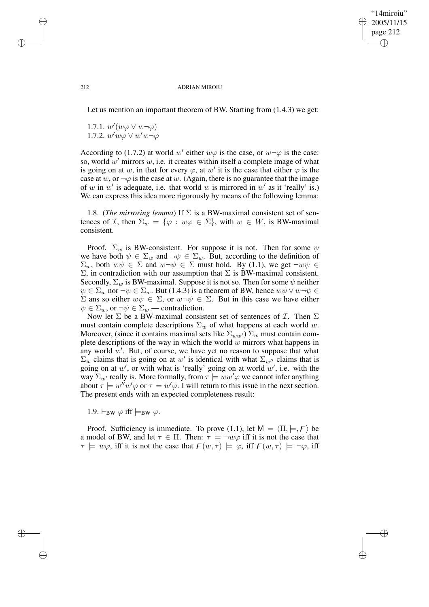✐

#### 212 ADRIAN MIROIU

Let us mention an important theorem of BW. Starting from (1.4.3) we get:

1.7.1.  $w'(w\varphi \vee w \neg \varphi)$ 1.7.2.  $w'w\varphi \vee w'w \neg \varphi$ 

According to (1.7.2) at world w' either  $w\varphi$  is the case, or  $w\neg\varphi$  is the case: so, world  $w'$  mirrors  $w$ , i.e. it creates within itself a complete image of what is going on at w, in that for every  $\varphi$ , at w' it is the case that either  $\varphi$  is the case at w, or  $\neg \varphi$  is the case at w. (Again, there is no guarantee that the image of w in w' is adequate, i.e. that world w is mirrored in w' as it 'really' is.) We can express this idea more rigorously by means of the following lemma:

1.8. (*The mirroring lemma*) If Σ is a BW-maximal consistent set of sentences of *I*, then  $\Sigma_w = {\varphi : w\varphi \in \Sigma}$ , with  $w \in W$ , is BW-maximal consistent.

Proof.  $\Sigma_w$  is BW-consistent. For suppose it is not. Then for some  $\psi$ we have both  $\psi \in \Sigma_w$  and  $\neg \psi \in \Sigma_w$ . But, according to the definition of  $\Sigma_w$ , both  $w\psi \in \Sigma$  and  $w\neg\psi \in \Sigma$  must hold. By (1.1), we get  $\neg w\psi \in \Sigma$ Σ, in contradiction with our assumption that Σ is BW-maximal consistent. Secondly,  $\Sigma_w$  is BW-maximal. Suppose it is not so. Then for some  $\psi$  neither  $\psi \in \Sigma_w$  nor  $\neg \psi \in \Sigma_w$ . But (1.4.3) is a theorem of BW, hence  $w\psi \vee w \neg \psi \in$ Σ ans so either  $wψ ∈ Σ$ , or  $w¬ψ ∈ Σ$ . But in this case we have either  $\psi \in \Sigma_w$ , or  $\neg \psi \in \Sigma_w$  — contradiction.

Now let  $\Sigma$  be a BW-maximal consistent set of sentences of  $\mathcal{I}$ . Then  $\Sigma$ must contain complete descriptions  $\Sigma_w$  of what happens at each world w. Moreover, (since it contains maximal sets like  $\Sigma_{ww'}$ )  $\Sigma_w$  must contain complete descriptions of the way in which the world  $w$  mirrors what happens in any world  $w'$ . But, of course, we have yet no reason to suppose that what  $\Sigma_w$  claims that is going on at w' is identical with what  $\Sigma_{w''}$  claims that is going on at w', or with what is 'really' going on at world  $w'$ , i.e. with the way  $\Sigma_{w'}$  really is. More formally, from  $\tau \models w w' \varphi$  we cannot infer anything about  $\tau \models w''w'\varphi$  or  $\tau \models w'\varphi$ . I will return to this issue in the next section. The present ends with an expected completeness result:

1.9.  $\vdash_{BW} \varphi$  iff  $\models_{BW} \varphi$ .

Proof. Sufficiency is immediate. To prove (1.1), let  $M = \langle \Pi, \models, F \rangle$  be a model of BW, and let  $\tau \in \Pi$ . Then:  $\tau \models \neg w\varphi$  iff it is not the case that  $\tau \models w\varphi$ , iff it is not the case that  $F(w, \tau) \models \varphi$ , iff  $F(w, \tau) \models \neg \varphi$ , iff

✐

✐

✐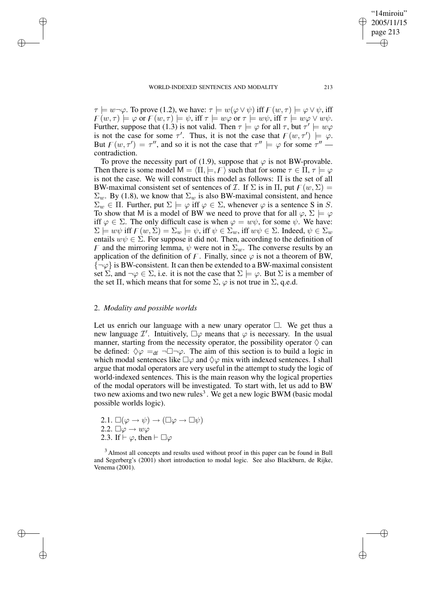$\tau \models w \neg \varphi$ . To prove (1.2), we have:  $\tau \models w(\varphi \lor \psi)$  iff  $F(w, \tau) \models \varphi \lor \psi$ , iff  $\overline{F}(w, \tau) \models \varphi$  or  $\overline{F}(w, \tau) \models \psi$ , iff  $\tau \models w\varphi$  or  $\tau \models w\psi$ , iff  $\tau \models w\varphi \vee w\psi$ . Further, suppose that (1.3) is not valid. Then  $\tau \models \varphi$  for all  $\tau$ , but  $\tau' \models w\varphi$ is not the case for some  $\tau'$ . Thus, it is not the case that  $F(w, \tau') \models \varphi$ . But  $F(w, \tau') = \tau''$ , and so it is not the case that  $\tau'' \models \varphi$  for some  $\tau''$  contradiction.

To prove the necessity part of (1.9), suppose that  $\varphi$  is not BW-provable. Then there is some model  $M = \langle \Pi, \models, F \rangle$  such that for some  $\tau \in \Pi, \tau \models \varphi$ is not the case. We will construct this model as follows:  $\Pi$  is the set of all BW-maximal consistent set of sentences of  $\mathcal I$ . If  $\Sigma$  is in  $\Pi$ , put  $\Gamma(w, \Sigma) =$  $\Sigma_w$ . By (1.8), we know that  $\Sigma_w$  is also BW-maximal consistent, and hence  $\Sigma_w \in \Pi$ . Further, put  $\Sigma \models \varphi$  iff  $\varphi \in \Sigma$ , whenever  $\varphi$  is a sentence S in S. To show that M is a model of BW we need to prove that for all  $\varphi$ ,  $\Sigma \models \varphi$ iff  $\varphi \in \Sigma$ . The only difficult case is when  $\varphi = w\psi$ , for some  $\psi$ . We have:  $\Sigma \models w\psi$  iff  $F(w, \Sigma) = \Sigma_w \models \psi$ , iff  $\psi \in \Sigma_w$ , iff  $w\psi \in \Sigma$ . Indeed,  $\psi \in \Sigma_w$ entails  $w\psi \in \Sigma$ . For suppose it did not. Then, according to the definition of F and the mirroring lemma,  $\psi$  were not in  $\Sigma_w$ . The converse results by an application of the definition of F. Finally, since  $\varphi$  is not a theorem of BW,  $\{\neg \varphi\}$  is BW-consistent. It can then be extended to a BW-maximal consistent set  $\Sigma$ , and  $\neg \varphi \in \Sigma$ , i.e. it is not the case that  $\Sigma \models \varphi$ . But  $\Sigma$  is a member of the set  $\Pi$ , which means that for some  $\Sigma$ ,  $\varphi$  is not true in  $\Sigma$ , q.e.d.

### 2. *Modality and possible worlds*

✐

✐

✐

✐

Let us enrich our language with a new unary operator  $\Box$ . We get thus a new language  $\mathcal{I}'$ . Intuitively,  $\square \varphi$  means that  $\varphi$  is necessary. In the usual manner, starting from the necessity operator, the possibility operator  $\Diamond$  can be defined:  $\Diamond \varphi =_{df} \neg \Box \neg \varphi$ . The aim of this section is to build a logic in which modal sentences like  $\square \varphi$  and  $\diamond \varphi$  mix with indexed sentences. I shall argue that modal operators are very useful in the attempt to study the logic of world-indexed sentences. This is the main reason why the logical properties of the modal operators will be investigated. To start with, let us add to BW two new axioms and two new rules<sup>3</sup>. We get a new logic BWM (basic modal possible worlds logic).

2.1.  $\square(\varphi \to \psi) \to (\square \varphi \to \square \psi)$ 2.2.  $\Box \varphi \rightarrow w \varphi$ 2.3. If  $\vdash \varphi$ , then  $\vdash \Box \varphi$ 

<sup>3</sup> Almost all concepts and results used without proof in this paper can be found in Bull and Segerberg's (2001) short introduction to modal logic. See also Blackburn, de Rijke, Venema (2001).

"14miroiu" 2005/11/15 page 213

✐

✐

✐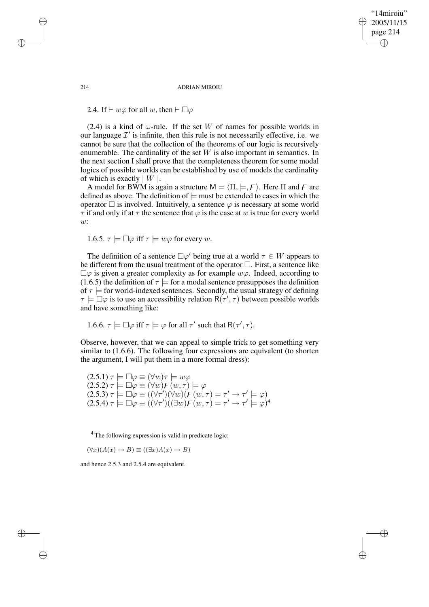"14miroiu" 2005/11/15 page 214 ✐ ✐

✐

✐

214 ADRIAN MIROIU

2.4. If  $\vdash w\varphi$  for all w, then  $\vdash \Box \varphi$ 

(2.4) is a kind of  $\omega$ -rule. If the set W of names for possible worlds in our language  $\mathcal{I}'$  is infinite, then this rule is not necessarily effective, i.e. we cannot be sure that the collection of the theorems of our logic is recursively enumerable. The cardinality of the set  $W$  is also important in semantics. In the next section I shall prove that the completeness theorem for some modal logics of possible worlds can be established by use of models the cardinality of which is exactly  $|W|$ .

A model for BWM is again a structure  $M = \langle \Pi, \models, F \rangle$ . Here  $\Pi$  and  $F$  are defined as above. The definition of  $\models$  must be extended to cases in which the operator  $\Box$  is involved. Intuitively, a sentence  $\varphi$  is necessary at some world  $\tau$  if and only if at  $\tau$  the sentence that  $\varphi$  is the case at w is true for every world w:

1.6.5. 
$$
\tau \models \Box \varphi
$$
 iff  $\tau \models w\varphi$  for every w.

The definition of a sentence  $\Box \varphi'$  being true at a world  $\tau \in W$  appears to be different from the usual treatment of the operator  $\Box$ . First, a sentence like  $\square \varphi$  is given a greater complexity as for example  $w\varphi$ . Indeed, according to (1.6.5) the definition of  $\tau$  = for a modal sentence presupposes the definition of  $\tau$   $\models$  for world-indexed sentences. Secondly, the usual strategy of defining  $\tau \models \Box \varphi$  is to use an accessibility relation  $R(\tau', \tau)$  between possible worlds and have something like:

1.6.6. 
$$
\tau \models \Box \varphi
$$
 iff  $\tau \models \varphi$  for all  $\tau'$  such that  $R(\tau', \tau)$ .

Observe, however, that we can appeal to simple trick to get something very similar to (1.6.6). The following four expressions are equivalent (to shorten the argument, I will put them in a more formal dress):

$$
(2.5.1) \tau \models \Box \varphi \equiv (\forall w)\tau \models w\varphi
$$
  
\n
$$
(2.5.2) \tau \models \Box \varphi \equiv (\forall w)F(w,\tau) \models \varphi
$$
  
\n
$$
(2.5.3) \tau \models \Box \varphi \equiv ((\forall \tau')(\forall w)(F(w,\tau) = \tau' \rightarrow \tau' \models \varphi))
$$
  
\n
$$
(2.5.4) \tau \models \Box \varphi \equiv ((\forall \tau')((\exists w)F(w,\tau) = \tau' \rightarrow \tau' \models \varphi)^4
$$

<sup>4</sup> The following expression is valid in predicate logic:

 $(\forall x)(A(x) \rightarrow B) \equiv ((\exists x)A(x) \rightarrow B)$ 

and hence 2.5.3 and 2.5.4 are equivalent.

✐

✐

✐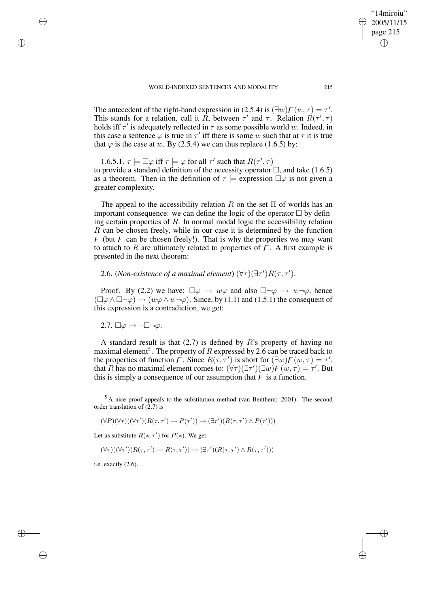The antecedent of the right-hand expression in (2.5.4) is  $(\exists w) F(w, \tau) = \tau'$ . This stands for a relation, call it R, between  $\tau'$  and  $\tau$ . Relation  $R(\tau', \tau)$ holds iff  $\tau'$  is adequately reflected in  $\tau$  as some possible world w. Indeed, in this case a sentence  $\varphi$  is true in  $\tau'$  iff there is some w such that at  $\tau$  it is true that  $\varphi$  is the case at w. By (2.5.4) we can thus replace (1.6.5) by:

1.6.5.1.  $\tau \models \Box \varphi$  iff  $\tau \models \varphi$  for all  $\tau'$  such that  $R(\tau', \tau)$ to provide a standard definition of the necessity operator  $\Box$ , and take (1.6.5) as a theorem. Then in the definition of  $\tau$  = expression  $\square \varphi$  is not given a greater complexity.

The appeal to the accessibility relation R on the set  $\Pi$  of worlds has an important consequence: we can define the logic of the operator  $\Box$  by defining certain properties of  $R$ . In normal modal logic the accessibility relation R can be chosen freely, while in our case it is determined by the function  $\overline{F}$  (but  $\overline{F}$  can be chosen freely!). That is why the properties we may want to attach to R are ultimately related to properties of  $F$ . A first example is presented in the next theorem:

2.6. (*Non-existence of a maximal element*)  $(\forall \tau)(\exists \tau')R(\tau, \tau').$ 

Proof. By (2.2) we have:  $\Box \varphi \rightarrow w\varphi$  and also  $\Box \neg \varphi \rightarrow w \neg \varphi$ , hence  $(\Box \varphi \land \Box \neg \varphi) \rightarrow (w\varphi \land w\neg \varphi)$ . Since, by (1.1) and (1.5.1) the consequent of this expression is a contradiction, we get:

2.7.  $\Box \varphi \rightarrow \neg \Box \neg \varphi$ .

✐

✐

✐

✐

A standard result is that  $(2.7)$  is defined by R's property of having no maximal element<sup>5</sup>. The property of R expressed by 2.6 can be traced back to the properties of function F. Since  $R(\tau, \tau')$  is short for  $(\exists w)F(w, \tau) = \tau'$ , that R has no maximal element comes to:  $(\forall \tau)(\exists \tau')(\exists w) F(w, \tau) = \tau'$ . But this is simply a consequence of our assumption that  $\overline{F}$  is a function.

 $5$  A nice proof appeals to the substitution method (van Benthem: 2001). The second order translation of  $(2.7)$  is

$$
(\forall P)(\forall \tau)((\forall \tau')(R(\tau, \tau') \to P(\tau')) \to (\exists \tau')(R(\tau, \tau') \land P(\tau')))
$$

Let us substitute  $R(*, \tau')$  for  $P(*)$ . We get:

$$
(\forall \tau)((\forall \tau')(R(\tau,\tau') \to R(\tau,\tau')) \to (\exists \tau')(R(\tau,\tau') \land R(\tau,\tau')))
$$

i.e. exactly (2.6).

"14miroiu" 2005/11/15 page 215

✐

✐

✐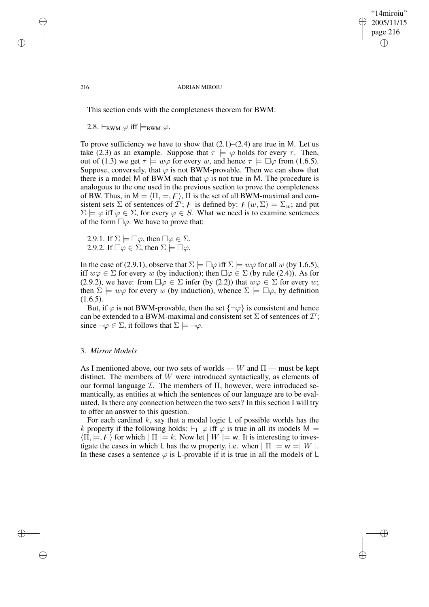✐

#### 216 ADRIAN MIROIU

This section ends with the completeness theorem for BWM:

2.8.  $\vdash_{\text{BWM}} \varphi$  iff  $\models_{\text{BWM}} \varphi$ .

To prove sufficiency we have to show that  $(2.1)$ – $(2.4)$  are true in M. Let us take (2.3) as an example. Suppose that  $\tau \models \varphi$  holds for every  $\tau$ . Then, out of (1.3) we get  $\tau \models w\varphi$  for every w, and hence  $\tau \models \Box \varphi$  from (1.6.5). Suppose, conversely, that  $\varphi$  is not BWM-provable. Then we can show that there is a model M of BWM such that  $\varphi$  is not true in M. The procedure is analogous to the one used in the previous section to prove the completeness of BW. Thus, in  $M = \langle \Pi, \models, F \rangle$ ,  $\Pi$  is the set of all BWM-maximal and consistent sets  $\Sigma$  of sentences of  $\mathcal{I}'$ ; F is defined by:  $F(w, \Sigma) = \Sigma_w$ ; and put  $\Sigma \models \varphi$  iff  $\varphi \in \Sigma$ , for every  $\varphi \in S$ . What we need is to examine sentences of the form  $\square \varphi$ . We have to prove that:

2.9.1. If  $\Sigma \models \Box \varphi$ , then  $\Box \varphi \in \Sigma$ . 2.9.2. If  $\Box \varphi \in \Sigma$ , then  $\Sigma \models \Box \varphi$ .

In the case of (2.9.1), observe that  $\Sigma \models \Box \varphi$  iff  $\Sigma \models w\varphi$  for all w (by 1.6.5), iff  $w\varphi \in \Sigma$  for every w (by induction); then  $\Box \varphi \in \Sigma$  (by rule (2.4)). As for (2.9.2), we have: from  $\Box \varphi \in \Sigma$  infer (by (2.2)) that  $w\varphi \in \Sigma$  for every w; then  $\Sigma \models w\varphi$  for every w (by induction), whence  $\Sigma \models \Box \varphi$ , by definition  $(1.6.5)$ .

But, if  $\varphi$  is not BWM-provable, then the set  $\{\neg \varphi\}$  is consistent and hence can be extended to a BWM-maximal and consistent set  $\Sigma$  of sentences of  $\mathcal{I}'$ ; since  $\neg \varphi \in \Sigma$ , it follows that  $\Sigma \models \neg \varphi$ .

### 3. *Mirror Models*

As I mentioned above, our two sets of worlds — W and  $\Pi$  — must be kept distinct. The members of W were introduced syntactically, as elements of our formal language  $\mathcal I$ . The members of  $\Pi$ , however, were introduced semantically, as entities at which the sentences of our language are to be evaluated. Is there any connection between the two sets? In this section I will try to offer an answer to this question.

For each cardinal  $k$ , say that a modal logic  $\sf L$  of possible worlds has the k property if the following holds:  $\vdash_L \varphi$  iff  $\varphi$  is true in all its models M =  $\langle \Pi, \models, F \rangle$  for which  $| \Pi | = k$ . Now let  $| W | = w$ . It is interesting to investigate the cases in which L has the w property, i.e. when  $| \Pi | = w = | W |$ . In these cases a sentence  $\varphi$  is L-provable if it is true in all the models of L

✐

✐

✐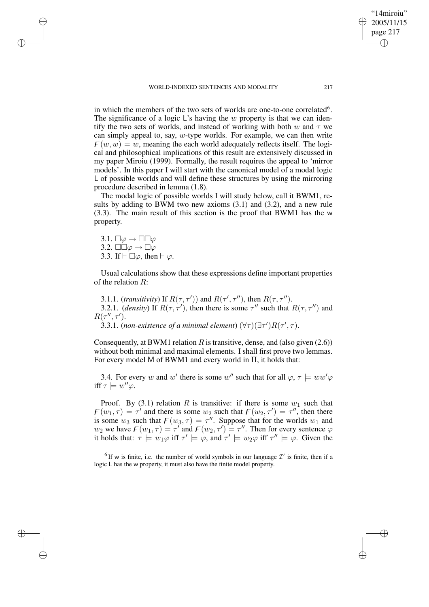in which the members of the two sets of worlds are one-to-one correlated<sup>6</sup>. The significance of a logic  $\mathsf{L}'$ 's having the w property is that we can identify the two sets of worlds, and instead of working with both w and  $\tau$  we can simply appeal to, say,  $w$ -type worlds. For example, we can then write  $F(w, w) = w$ , meaning the each world adequately reflects itself. The logical and philosophical implications of this result are extensively discussed in my paper Miroiu (1999). Formally, the result requires the appeal to 'mirror models'. In this paper I will start with the canonical model of a modal logic L of possible worlds and will define these structures by using the mirroring

The modal logic of possible worlds I will study below, call it BWM1, results by adding to BWM two new axioms (3.1) and (3.2), and a new rule (3.3). The main result of this section is the proof that BWM1 has the w property.

3.1.  $\Box \varphi \rightarrow \Box \Box \varphi$ 3.2.  $\square \square \varphi \rightarrow \square \varphi$ 3.3. If  $\vdash \Box \varphi$ , then  $\vdash \varphi$ .

procedure described in lemma (1.8).

✐

✐

✐

✐

Usual calculations show that these expressions define important properties of the relation R:

3.1.1. (*transitivity*) If  $R(\tau, \tau')$ ) and  $R(\tau', \tau'')$ , then  $R(\tau, \tau'')$ . 3.2.1. (*density*) If  $R(\tau, \tau')$ , then there is some  $\tau''$  such that  $R(\tau, \tau'')$  and  $R(\tau'', \tau').$ 

3.3.1. (non-existence of a minimal element)  $(\forall \tau)(\exists \tau')R(\tau', \tau)$ .

Consequently, at BWM1 relation  $R$  is transitive, dense, and (also given (2.6)) without both minimal and maximal elements. I shall first prove two lemmas. For every model M of BWM1 and every world in Π, it holds that:

3.4. For every w and w' there is some w'' such that for all  $\varphi$ ,  $\tau \models ww'\varphi$ iff  $\tau \models w'' \varphi$ .

Proof. By (3.1) relation R is transitive: if there is some  $w_1$  such that  $F(w_1, \tau) = \tau'$  and there is some  $w_2$  such that  $F(w_2, \tau') = \tau''$ , then there is some  $w_3$  such that  $F(w_3, \tau) = \tau''$ . Suppose that for the worlds  $w_1$  and  $w_2$  we have  $F(w_1, \tau) = \tau'$  and  $F(w_2, \tau') = \tau''$ . Then for every sentence  $\varphi$ it holds that:  $\tau \models w_1\varphi$  iff  $\tau' \models \varphi$ , and  $\tau' \models w_2\varphi$  iff  $\tau'' \models \varphi$ . Given the

<sup>6</sup> If w is finite, i.e. the number of world symbols in our language  $\mathcal{I}'$  is finite, then if a logic L has the w property, it must also have the finite model property.

"14miroiu" 2005/11/15 page 217

✐

✐

✐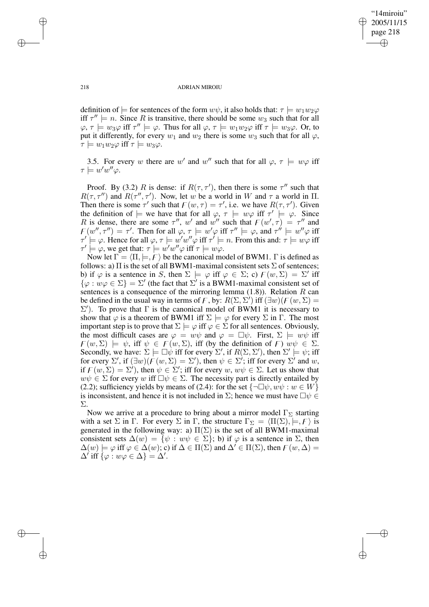✐

#### 218 ADRIAN MIROIU

definition of  $\models$  for sentences of the form  $w\psi$ , it also holds that:  $\tau \models w_1w_2\varphi$ iff  $\tau'' \models n$ . Since R is transitive, there should be some  $w_3$  such that for all  $\varphi$ ,  $\tau \models w_3\varphi$  iff  $\tau'' \models \varphi$ . Thus for all  $\varphi$ ,  $\tau \models w_1w_2\varphi$  iff  $\tau \models w_3\varphi$ . Or, to put it differently, for every  $w_1$  and  $w_2$  there is some  $w_3$  such that for all  $\varphi$ ,  $\tau \models w_1w_2\varphi \text{ iff } \tau \models w_3\varphi.$ 

3.5. For every w there are w' and w'' such that for all  $\varphi$ ,  $\tau \models w\varphi$  iff  $\tau \models w'w''\varphi.$ 

Proof. By (3.2) R is dense: if  $R(\tau, \tau')$ , then there is some  $\tau''$  such that  $R(\tau, \tau'')$  and  $R(\tau'', \tau')$ . Now, let w be a world in W and  $\tau$  a world in  $\Pi$ . Then there is some  $\tau'$  such that  $F(w, \tau) = \tau'$ , i.e. we have  $R(\tau, \tau')$ . Given the definition of  $\models$  we have that for all  $\varphi$ ,  $\tau \models w\varphi$  iff  $\tau' \models \varphi$ . Since R is dense, there are some  $\tau''$ , w' and w'' such that  $F(w', \tau) = \tau''$  and  $F(w'', \tau'') = \tau'$ . Then for all  $\varphi, \tau \models w' \varphi$  iff  $\tau'' \models \varphi$ , and  $\tau'' \models w'' \varphi$  iff  $\tau' \models \varphi$ . Hence for all  $\varphi, \tau \models w'w''\varphi$  iff  $\tau' \models n$ . From this and:  $\tau \models w\varphi$  iff  $\tau' \models \varphi$ , we get that:  $\tau \models w'w''\varphi$  iff  $\tau \models w\varphi$ .

Now let  $\Gamma = \langle \Pi, \models, F \rangle$  be the canonical model of BWM1. Γ is defined as follows: a)  $\Pi$  is the set of all BWM1-maximal consistent sets  $\Sigma$  of sentences; b) if  $\varphi$  is a sentence in S, then  $\Sigma \models \varphi$  iff  $\varphi \in \Sigma$ ; c)  $F(w, \Sigma) = \Sigma'$  iff  $\{\varphi : w\varphi \in \Sigma\} = \Sigma'$  (the fact that  $\Sigma'$  is a BWM1-maximal consistent set of sentences is a consequence of the mirroring lemma  $(1.8)$ ). Relation R can be defined in the usual way in terms of F, by:  $R(\Sigma, \Sigma')$  iff  $(\exists w)(F(w, \Sigma))$  $\Sigma'$ ). To prove that Γ is the canonical model of BWM1 it is necessary to show that  $\varphi$  is a theorem of BWM1 iff  $\Sigma \models \varphi$  for every  $\Sigma$  in  $\Gamma$ . The most important step is to prove that  $\Sigma \models \varphi$  iff  $\varphi \in \Sigma$  for all sentences. Obviously, the most difficult cases are  $\varphi = w\psi$  and  $\varphi = \Box \psi$ . First,  $\Sigma \models w\psi$  iff  $F(w, \Sigma) \models \psi$ , iff  $\psi \in F(w, \Sigma)$ , iff (by the definition of F)  $w\psi \in \Sigma$ . Secondly, we have:  $\Sigma \models \Box \psi$  iff for every  $\Sigma'$ , if  $R(\Sigma, \Sigma')$ , then  $\Sigma' \models \psi$ ; iff for every  $\Sigma'$ , if  $(\exists w)(\overline{F}(w, \Sigma) = \Sigma')$ , then  $\psi \in \Sigma'$ ; iff for every  $\Sigma'$  and w, if  $F(w, \Sigma) = \Sigma'$ , then  $\psi \in \Sigma'$ ; iff for every  $w, w\psi \in \Sigma$ . Let us show that  $w\psi \in \Sigma$  for every w iff  $\Box \psi \in \Sigma$ . The necessity part is directly entailed by (2.2); sufficiency yields by means of (2.4): for the set  $\{\neg \Box \psi, w\psi : w \in W\}$ is inconsistent, and hence it is not included in  $\Sigma$ ; hence we must have  $\Box \psi \in$ Σ.

Now we arrive at a procedure to bring about a mirror model  $\Gamma_{\Sigma}$  starting with a set  $\Sigma$  in  $\Gamma$ . For every  $\Sigma$  in  $\Gamma$ , the structure  $\Gamma_{\Sigma} = \langle \Pi(\Sigma), \models, F \rangle$  is generated in the following way: a)  $\Pi(\Sigma)$  is the set of all BWM1-maximal consistent sets  $\Delta(w) = \{\psi : w\psi \in \Sigma\}$ ; b) if  $\varphi$  is a sentence in  $\Sigma$ , then  $\Delta(w) \models \varphi$  iff  $\varphi \in \Delta(w)$ ; c) if  $\Delta \in \Pi(\Sigma)$  and  $\Delta' \in \Pi(\Sigma)$ , then  $\Gamma(w, \Delta) =$  $\Delta'$  iff  $\{\varphi : w\varphi \in \Delta\} = \Delta'.$ 

✐

✐

✐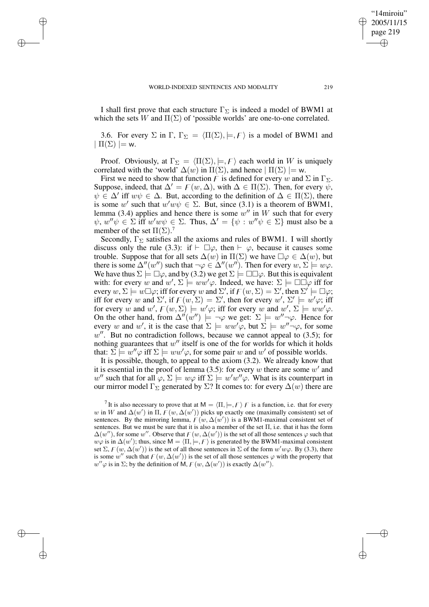✐

✐

✐

I shall first prove that each structure  $\Gamma_{\Sigma}$  is indeed a model of BWM1 at which the sets W and  $\Pi(\Sigma)$  of 'possible worlds' are one-to-one correlated.

3.6. For every  $\Sigma$  in  $\Gamma$ ,  $\Gamma_{\Sigma} = \langle \Pi(\Sigma), \models, F \rangle$  is a model of BWM1 and  $|\Pi(\Sigma)| = w.$ 

Proof. Obviously, at  $\Gamma_{\Sigma} = \langle \Pi(\Sigma), \models, F \rangle$  each world in W is uniquely correlated with the 'world'  $\Delta(w)$  in  $\Pi(\Sigma)$ , and hence  $|\Pi(\Sigma)| = w$ .

First we need to show that function F is defined for every w and  $\Sigma$  in  $\Gamma_{\Sigma}$ . Suppose, indeed, that  $\Delta' = F(w, \Delta)$ , with  $\Delta \in \Pi(\Sigma)$ . Then, for every  $\psi$ ,  $\psi \in \Delta'$  iff  $w\psi \in \Delta$ . But, according to the definition of  $\Delta \in \Pi(\Sigma)$ , there is some w' such that  $w'w\psi \in \Sigma$ . But, since (3.1) is a theorem of BWM1, lemma (3.4) applies and hence there is some  $w''$  in W such that for every  $\psi, w''\psi \in \Sigma$  iff  $w'w\psi \in \Sigma$ . Thus,  $\Delta' = {\psi : w''\psi \in \Sigma}$  must also be a member of the set  $\Pi(\Sigma)$ .<sup>7</sup>

Secondly,  $\Gamma_{\Sigma}$  satisfies all the axioms and rules of BWM1. I will shortly discuss only the rule (3.3): if  $\vdash \Box \varphi$ , then  $\vdash \varphi$ , because it causes some trouble. Suppose that for all sets  $\Delta(w)$  in  $\Pi(\Sigma)$  we have  $\square \varphi \in \Delta(w)$ , but there is some  $\Delta''(w'')$  such that  $\neg \varphi \in \Delta''(w'')$ . Then for every  $w, \Sigma \models w\varphi$ . We have thus  $\Sigma \models \Box \varphi$ , and by (3.2) we get  $\Sigma \models \Box \Box \varphi$ . But this is equivalent with: for every w and  $w'$ ,  $\Sigma \models ww'\varphi$ . Indeed, we have:  $\Sigma \models \Box \Box \varphi$  iff for every  $w, \Sigma \models w \Box \varphi$ ; iff for every w and  $\Sigma'$ , if  $F(w, \Sigma) = \Sigma'$ , then  $\Sigma' \models \Box \varphi$ ; iff for every w and  $\Sigma'$ , if  $F(w, \Sigma) = \Sigma'$ , then for every w',  $\Sigma' \models w' \varphi$ ; iff for every w and  $w'$ ,  $F(w, \Sigma) \models w' \varphi$ ; iff for every w and  $w'$ ,  $\Sigma \models w w' \varphi$ . On the other hand, from  $\Delta''(w'')$   $\models \neg \varphi$  we get:  $\Sigma \models w''\neg \varphi$ . Hence for every w and w', it is the case that  $\Sigma \models ww'\varphi$ , but  $\Sigma \models w''\neg\varphi$ , for some  $w''$ . But no contradiction follows, because we cannot appeal to  $(3.5)$ ; for nothing guarantees that  $w''$  itself is one of the for worlds for which it holds that:  $\Sigma$   $\models w''\varphi$  iff  $\Sigma$   $\models ww'\varphi$ , for some pair w and w' of possible worlds.

It is possible, though, to appeal to the axiom (3.2). We already know that it is essential in the proof of lemma (3.5): for every w there are some w' and w'' such that for all  $\varphi$ ,  $\Sigma \models w\varphi$  iff  $\Sigma \models w'w''\varphi$ . What is its counterpart in our mirror model  $\Gamma_{\Sigma}$  generated by  $\Sigma$ ? It comes to: for every  $\Delta(w)$  there are

<sup>7</sup> It is also necessary to prove that at  $M = \langle \Pi, \models, F \rangle$  *F* is a function, i.e. that for every w in W and  $\Delta(w')$  in  $\Pi$ ,  $\overline{F}(w, \Delta(w'))$  picks up exactly one (maximally consistent) set of sentences. By the mirroring lemma,  $\overline{F(w, \Delta(w'))}$  is a BWM1-maximal consistent set of sentences. But we must be sure that it is also a member of the set  $\Pi$ , i.e. that it has the form  $\Delta(w'')$ , for some w''. Observe that  $F(w, \Delta(w'))$  is the set of all those sentences  $\varphi$  such that  $w\varphi$  is in  $\Delta(w')$ ; thus, since  $M = \langle \Pi, \models, F \rangle$  is generated by the BWM1-maximal consistent set  $\Sigma$ ,  $F(w, \Delta(w'))$  is the set of all those sentences in  $\Sigma$  of the form  $w'w\varphi$ . By (3.3), there is some w'' such that  $F(w, \Delta(w'))$  is the set of all those sentences  $\varphi$  with the property that  $w''\varphi$  is in  $\Sigma$ ; by the definition of M,  $F(w, \Delta(w'))$  is exactly  $\Delta(w'')$ .

"14miroiu" 2005/11/15 page 219

✐

✐

✐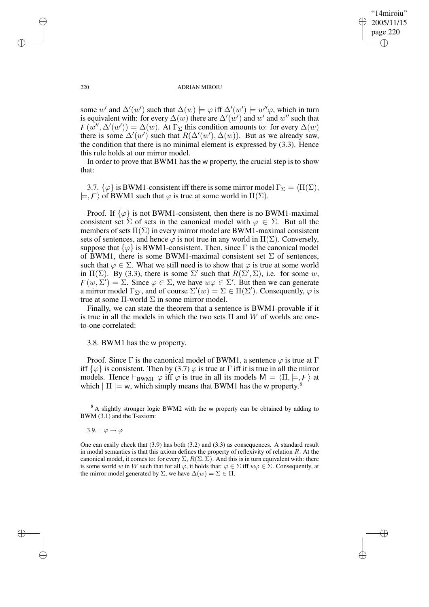✐

#### 220 ADRIAN MIROIU

some w' and  $\Delta'(w')$  such that  $\Delta(w) \models \varphi$  iff  $\Delta'(w') \models w''\varphi$ , which in turn is equivalent with: for every  $\Delta(w)$  there are  $\Delta'(w')$  and w' and w'' such that  $F(w'', \Delta'(w')) = \Delta(w)$ . At  $\Gamma_{\Sigma}$  this condition amounts to: for every  $\Delta(w)$ there is some  $\Delta'(w')$  such that  $R(\Delta'(w'), \Delta(w))$ . But as we already saw, the condition that there is no minimal element is expressed by (3.3). Hence this rule holds at our mirror model.

In order to prove that BWM1 has the w property, the crucial step is to show that:

3.7.  $\{\varphi\}$  is BWM1-consistent iff there is some mirror model  $\Gamma_{\Sigma} = \langle \Pi(\Sigma),\rangle$  $|=, F \rangle$  of BWM1 such that  $\varphi$  is true at some world in  $\Pi(\Sigma)$ .

Proof. If  $\{\varphi\}$  is not BWM1-consistent, then there is no BWM1-maximal consistent set  $\Sigma$  of sets in the canonical model with  $\varphi \in \Sigma$ . But all the members of sets  $\Pi(\Sigma)$  in every mirror model are BWM1-maximal consistent sets of sentences, and hence  $\varphi$  is not true in any world in  $\Pi(\Sigma)$ . Conversely, suppose that  $\{\varphi\}$  is BWM1-consistent. Then, since  $\Gamma$  is the canonical model of BWM1, there is some BWM1-maximal consistent set  $\Sigma$  of sentences, such that  $\varphi \in \Sigma$ . What we still need is to show that  $\varphi$  is true at some world in  $\Pi(\Sigma)$ . By (3.3), there is some  $\Sigma'$  such that  $R(\Sigma', \Sigma)$ , i.e. for some w,  $F(w, \Sigma') = \Sigma$ . Since  $\varphi \in \Sigma$ , we have  $w\varphi \in \Sigma'$ . But then we can generate a mirror model  $\Gamma_{\Sigma}$ , and of course  $\Sigma'(w) = \Sigma \in \Pi(\Sigma')$ . Consequently,  $\varphi$  is true at some Π-world Σ in some mirror model.

Finally, we can state the theorem that a sentence is BWM1-provable if it is true in all the models in which the two sets  $\Pi$  and  $W$  of worlds are oneto-one correlated:

3.8. BWM1 has the w property.

Proof. Since  $\Gamma$  is the canonical model of BWM1, a sentence  $\varphi$  is true at  $\Gamma$ iff  $\{\varphi\}$  is consistent. Then by (3.7)  $\varphi$  is true at  $\Gamma$  iff it is true in all the mirror models. Hence  $\vdash_{BWM1} \varphi$  iff  $\varphi$  is true in all its models  $M = \langle \Pi, \models, F \rangle$  at which  $| \Pi | = w$ , which simply means that BWM1 has the w property.<sup>8</sup>

<sup>8</sup> A slightly stronger logic BWM2 with the w property can be obtained by adding to BWM (3.1) and the T-axiom:

3.9.  $\Box \varphi \rightarrow \varphi$ 

One can easily check that (3.9) has both (3.2) and (3.3) as consequences. A standard result in modal semantics is that this axiom defines the property of reflexivity of relation  $R$ . At the canonical model, it comes to: for every  $\Sigma$ ,  $R(\Sigma, \Sigma)$ . And this is in turn equivalent with: there is some world w in W such that for all  $\varphi$ , it holds that:  $\varphi \in \Sigma$  iff  $w\varphi \in \Sigma$ . Consequently, at the mirror model generated by  $\Sigma$ , we have  $\Delta(w) = \Sigma \in \Pi$ .

✐

✐

✐